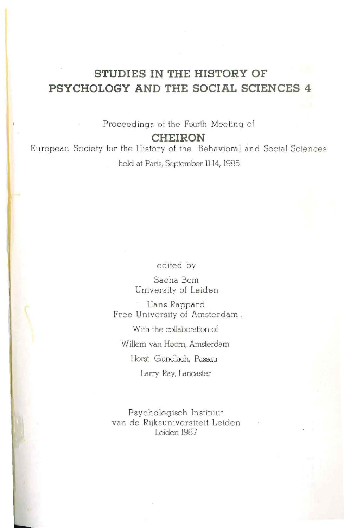# **STUDIES IN THE HISTORY OF PSYCHOLOGY AND THE SOCIAL SCIENCES 4**

Proceedings of the Fourth Meeting of

**CHEIRON** 

European Society for the History of the Behavioral and Social Sciences held at Paris, September 11-14, 1985

edited by

Sacha Bern University of Leiden

Hans Rappard Free University of Amsterdam . With the collaboration of Willem van Hoom, Amsterdam Horst Gundlach, Passau

Larry Ray, Lancaster

Psychologisch Instituut van de Rijksuniversiteit Leiden Leiden 1987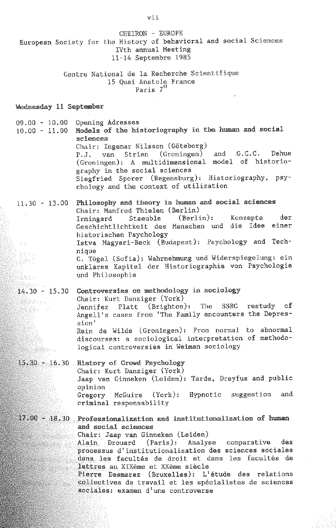vii CHEIRON ·· EUROPE European Society for the History of behavioral and social Sciences IVth annual Meeting 11-14 Septembre 1985 Centre National de la Recherche Scientifique 15 Quai Anatole France Paris 7° \lednesday 11 September 09.00 - 10.00 Opening Adresses  $10.00 - 11.00$  Models of the historiography in the human and social sciences Chair: Ingemar Nilsson (Göteborg) P.J. van Strien (Groningen) and G.C.C. Dehue  $(Groningen):$  A multidimensional model of historiography in the social sciences Siegfried Sporer (Regensburg): Historiography, psychology and the context of utilization  $11.30 - 13.00$  Philosophy and theory in human and social sciences Chair: Manfred Thielen (Berlin)<br>Irmingard Staeuble (Berlin): Irmingard Staeuble (Berlin): Konzepte der Geschichtlichtkeit des Menschen und die Idee einer historischen Psychology Istva Magyari -Beck (Budapest): Psychology and Technique 综合和: C. Tögel (Sofia): Wahrnehmung und Widerspiegelung: ein 1995 F unklares Kapitel der Historiographie von Psychologie und Philosophie Wear 14.30 - 15.30 Controversies on methodology in sociology Chair: Kurt Danziger (York) ektiva Jennifer Platt (Brighton): The SSRC restudy of este Angell's cases from 'The Family encounters the Depression' Rein de Wilde ( Groningen): From normal to abnormal discourses: a sociological interpretation of methodological controversies in Weiman sociology en de la posta de la provincia del control de la contradición de la contradición de la contradición de la cont<br>La contradición de la contradición de la contradición de la contradición de la contradición de la contradición 15.30 16.30 History of Crowd Psychology Chair: Kurt Danziger (York) Jaap van Ginneken (Leiden): Tarde, Dreyfus and public opinion Gregory McGuire (York): Hypnotic suggestion and criminal responsability  $17.00 - 18.30$  Professionalization and institutionalization of human and social sciences Chair: Jaap van Ginneken (Leiden) Alain Drouard (Paris): Analyse comparative des processus d'institutionalisation des sciences sociales dans les facultés de droit et dans les facultés de lettres au xrxeme et xxeme siecle Pierre Desmarez (Bruxelles): L'étude des relations collectives de travail et les späcialistes de sciences sociales: examen d'une controverse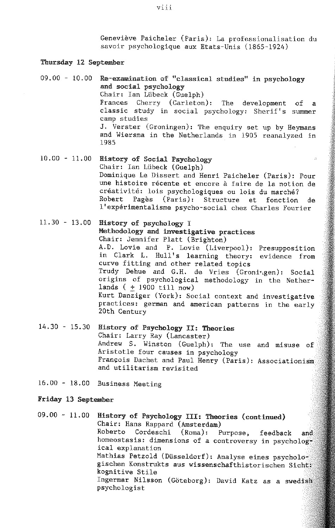Geneviève Paicheler (Paris): La professionalisation du savoir psychologique aux Etats-Unis (1865-1924)

### Thursday 12 September

- $09.00 10.00$  Re-examination of "classical studies" in psychology and social psychology Chair: Ian Lübeck (Guelph) Frances Cherry (Carleton): The development of a classic study in social psychology: Sherif's summer camp studies J. Verster (Groningen): The enquiry set up by Heymans and Wiersma in the Netherlands in 1905 reanalyzed in 1985
- 10.00 11.00 History of Social Psychology Chair: Ian Lübeck (Guelph) Dominique Le Dissert and Henri Paicheler (Paris): Pour une histoire recente et encore a faire de la notion de créativité: lois psychologiques ou lois du marché?<br>Robert Pagès (Paris): Structure et fonction Structure et fonction de l'expérimentalisme psycho-social chez Charles Fourier
- 11.30 13.00 **History of psychology** I Methodology and investigative practices Chair: Jennifer Platt (Brighton) A.D. Lovie and P. Lovie (Liverpool): Presupposition in Clark L. Hull's learning theory: evidence from curve fitting and other related topics Trudy Dehue and G.H. de Vries (Groningen): Social origins of psychological methodology in the Netherlands ( $+$  1900 till now) Kurt Danziger (York): Social context and investigative practices: german and american patterns in the early 20th Century
- 14.30 15.30 History of Psychology II: Theories Chair: Larry Ray (Lancaster) Andrew S. Winston (Guelph): The use and misuse of Aristotle four causes in psychology François Dachet and Paul Henry (Paris): Associationism and utilitarism revisited
- 16.00 18.00 Business Meeting

#### **Friday 13 September**

09.00 - 11.00 History of Psychology III: Theories (continued) Chair: Hans Rappard (Amsterdam)<br>Roberto Cordeschi (Roma): P Cordeschi (Roma): Purpose, feedback and homeostasis: dimensions of a controversy in psychological explanation Mathias Petzold (Düsseldorf): Analyse eines psychologischen Konstrukts aus wissenschafthistorischen Sicht: kognitive Stile Ingermar Nilsson (Göteborg): David Katz as a swedishi: psychologist